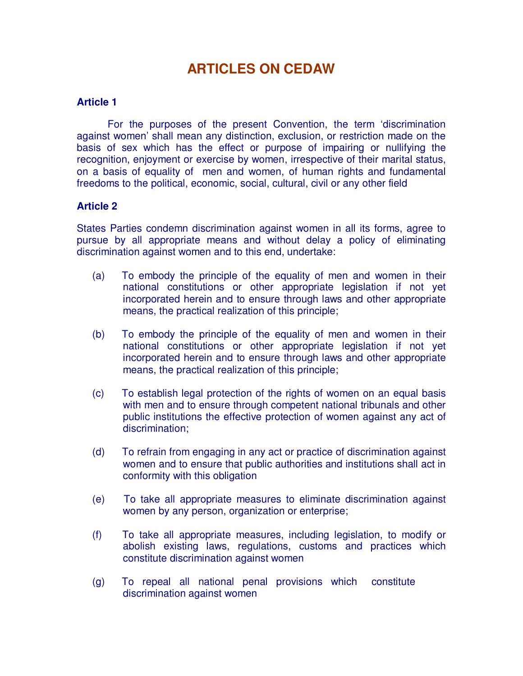# **ARTICLES ON CEDAW**

## **Article 1**

For the purposes of the present Convention, the term 'discrimination against women' shall mean any distinction, exclusion, or restriction made on the basis of sex which has the effect or purpose of impairing or nullifying the recognition, enjoyment or exercise by women, irrespective of their marital status, on a basis of equality of men and women, of human rights and fundamental freedoms to the political, economic, social, cultural, civil or any other field

#### **Article 2**

States Parties condemn discrimination against women in all its forms, agree to pursue by all appropriate means and without delay a policy of eliminating discrimination against women and to this end, undertake:

- (a) To embody the principle of the equality of men and women in their national constitutions or other appropriate legislation if not yet incorporated herein and to ensure through laws and other appropriate means, the practical realization of this principle;
- (b) To embody the principle of the equality of men and women in their national constitutions or other appropriate legislation if not yet incorporated herein and to ensure through laws and other appropriate means, the practical realization of this principle;
- (c) To establish legal protection of the rights of women on an equal basis with men and to ensure through competent national tribunals and other public institutions the effective protection of women against any act of discrimination;
- (d) To refrain from engaging in any act or practice of discrimination against women and to ensure that public authorities and institutions shall act in conformity with this obligation
- (e) To take all appropriate measures to eliminate discrimination against women by any person, organization or enterprise;
- (f) To take all appropriate measures, including legislation, to modify or abolish existing laws, regulations, customs and practices which constitute discrimination against women
- (g) To repeal all national penal provisions which constitute discrimination against women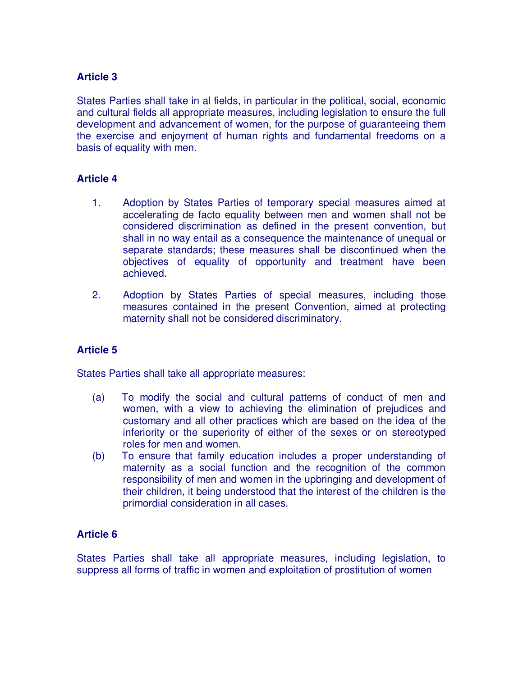# **Article 3**

States Parties shall take in al fields, in particular in the political, social, economic and cultural fields all appropriate measures, including legislation to ensure the full development and advancement of women, for the purpose of guaranteeing them the exercise and enjoyment of human rights and fundamental freedoms on a basis of equality with men.

#### **Article 4**

- 1. Adoption by States Parties of temporary special measures aimed at accelerating de facto equality between men and women shall not be considered discrimination as defined in the present convention, but shall in no way entail as a consequence the maintenance of unequal or separate standards; these measures shall be discontinued when the objectives of equality of opportunity and treatment have been achieved.
- 2. Adoption by States Parties of special measures, including those measures contained in the present Convention, aimed at protecting maternity shall not be considered discriminatory.

# **Article 5**

States Parties shall take all appropriate measures:

- (a) To modify the social and cultural patterns of conduct of men and women, with a view to achieving the elimination of prejudices and customary and all other practices which are based on the idea of the inferiority or the superiority of either of the sexes or on stereotyped roles for men and women.
- (b) To ensure that family education includes a proper understanding of maternity as a social function and the recognition of the common responsibility of men and women in the upbringing and development of their children, it being understood that the interest of the children is the primordial consideration in all cases.

#### **Article 6**

States Parties shall take all appropriate measures, including legislation, to suppress all forms of traffic in women and exploitation of prostitution of women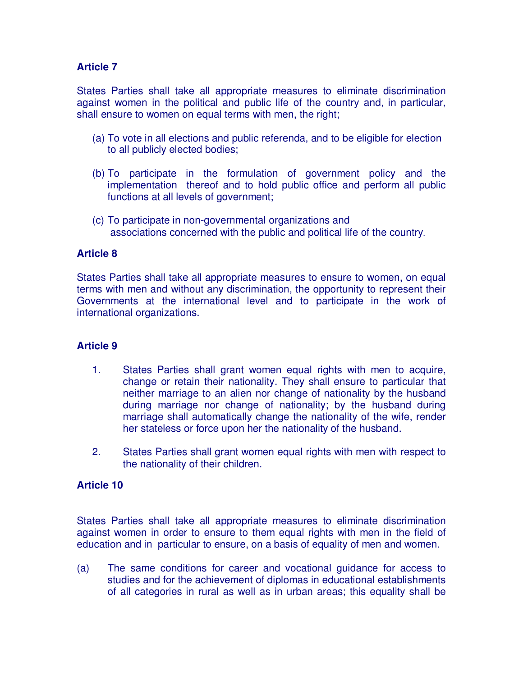# **Article 7**

States Parties shall take all appropriate measures to eliminate discrimination against women in the political and public life of the country and, in particular, shall ensure to women on equal terms with men, the right;

- (a) To vote in all elections and public referenda, and to be eligible for election to all publicly elected bodies;
- (b) To participate in the formulation of government policy and the implementation thereof and to hold public office and perform all public functions at all levels of government;
- (c) To participate in non-governmental organizations and associations concerned with the public and political life of the country.

#### **Article 8**

States Parties shall take all appropriate measures to ensure to women, on equal terms with men and without any discrimination, the opportunity to represent their Governments at the international level and to participate in the work of international organizations.

#### **Article 9**

- 1. States Parties shall grant women equal rights with men to acquire, change or retain their nationality. They shall ensure to particular that neither marriage to an alien nor change of nationality by the husband during marriage nor change of nationality; by the husband during marriage shall automatically change the nationality of the wife, render her stateless or force upon her the nationality of the husband.
- 2. States Parties shall grant women equal rights with men with respect to the nationality of their children.

#### **Article 10**

States Parties shall take all appropriate measures to eliminate discrimination against women in order to ensure to them equal rights with men in the field of education and in particular to ensure, on a basis of equality of men and women.

(a) The same conditions for career and vocational guidance for access to studies and for the achievement of diplomas in educational establishments of all categories in rural as well as in urban areas; this equality shall be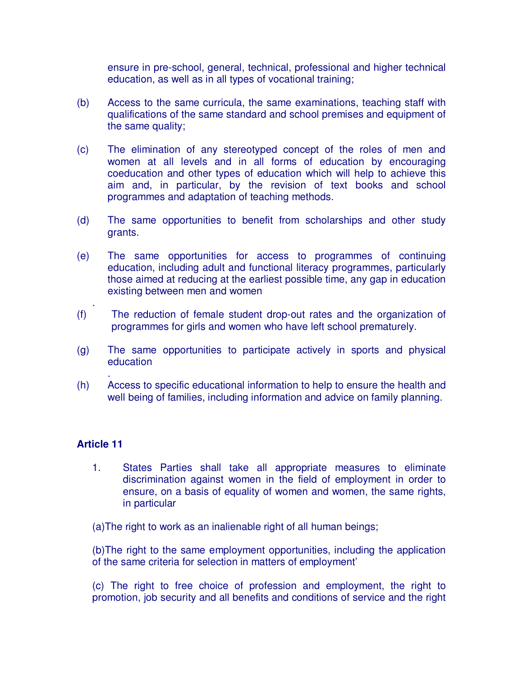ensure in pre-school, general, technical, professional and higher technical education, as well as in all types of vocational training;

- (b) Access to the same curricula, the same examinations, teaching staff with qualifications of the same standard and school premises and equipment of the same quality;
- (c) The elimination of any stereotyped concept of the roles of men and women at all levels and in all forms of education by encouraging coeducation and other types of education which will help to achieve this aim and, in particular, by the revision of text books and school programmes and adaptation of teaching methods.
- (d) The same opportunities to benefit from scholarships and other study grants.
- (e) The same opportunities for access to programmes of continuing education, including adult and functional literacy programmes, particularly those aimed at reducing at the earliest possible time, any gap in education existing between men and women
- . (f) The reduction of female student drop-out rates and the organization of programmes for girls and women who have left school prematurely.
- (g) The same opportunities to participate actively in sports and physical education
- . (h) Access to specific educational information to help to ensure the health and well being of families, including information and advice on family planning.

#### **Article 11**

1. States Parties shall take all appropriate measures to eliminate discrimination against women in the field of employment in order to ensure, on a basis of equality of women and women, the same rights, in particular

(a)The right to work as an inalienable right of all human beings;

(b)The right to the same employment opportunities, including the application of the same criteria for selection in matters of employment'

(c) The right to free choice of profession and employment, the right to promotion, job security and all benefits and conditions of service and the right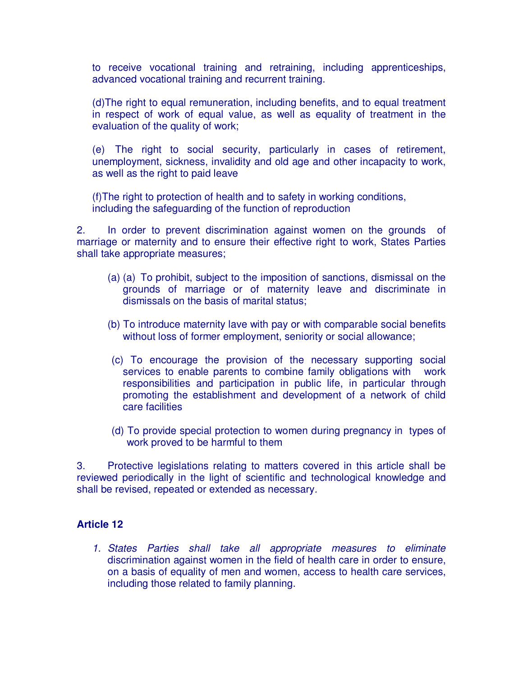to receive vocational training and retraining, including apprenticeships, advanced vocational training and recurrent training.

(d)The right to equal remuneration, including benefits, and to equal treatment in respect of work of equal value, as well as equality of treatment in the evaluation of the quality of work;

(e) The right to social security, particularly in cases of retirement, unemployment, sickness, invalidity and old age and other incapacity to work, as well as the right to paid leave

(f)The right to protection of health and to safety in working conditions, including the safeguarding of the function of reproduction

2. In order to prevent discrimination against women on the grounds of marriage or maternity and to ensure their effective right to work, States Parties shall take appropriate measures;

- (a) (a) To prohibit, subject to the imposition of sanctions, dismissal on the grounds of marriage or of maternity leave and discriminate in dismissals on the basis of marital status;
- (b) To introduce maternity lave with pay or with comparable social benefits without loss of former employment, seniority or social allowance;
- (c) To encourage the provision of the necessary supporting social services to enable parents to combine family obligations with work responsibilities and participation in public life, in particular through promoting the establishment and development of a network of child care facilities
- (d) To provide special protection to women during pregnancy in types of work proved to be harmful to them

3. Protective legislations relating to matters covered in this article shall be reviewed periodically in the light of scientific and technological knowledge and shall be revised, repeated or extended as necessary.

#### **Article 12**

1. States Parties shall take all appropriate measures to eliminate discrimination against women in the field of health care in order to ensure, on a basis of equality of men and women, access to health care services, including those related to family planning.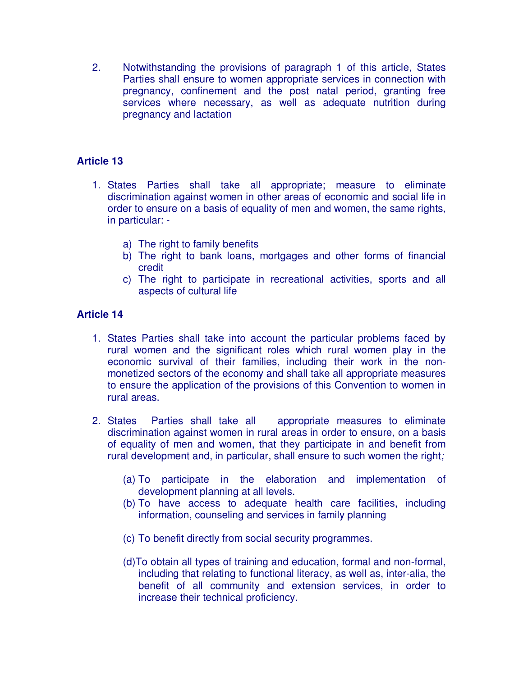2. Notwithstanding the provisions of paragraph 1 of this article, States Parties shall ensure to women appropriate services in connection with pregnancy, confinement and the post natal period, granting free services where necessary, as well as adequate nutrition during pregnancy and lactation

# **Article 13**

- 1. States Parties shall take all appropriate; measure to eliminate discrimination against women in other areas of economic and social life in order to ensure on a basis of equality of men and women, the same rights, in particular:
	- a) The right to family benefits
	- b) The right to bank loans, mortgages and other forms of financial credit
	- c) The right to participate in recreational activities, sports and all aspects of cultural life

## **Article 14**

- 1. States Parties shall take into account the particular problems faced by rural women and the significant roles which rural women play in the economic survival of their families, including their work in the nonmonetized sectors of the economy and shall take all appropriate measures to ensure the application of the provisions of this Convention to women in rural areas.
- 2. States Parties shall take all appropriate measures to eliminate discrimination against women in rural areas in order to ensure, on a basis of equality of men and women, that they participate in and benefit from rural development and, in particular, shall ensure to such women the right;
	- (a) To participate in the elaboration and implementation of development planning at all levels.
	- (b) To have access to adequate health care facilities, including information, counseling and services in family planning
	- (c) To benefit directly from social security programmes.
	- (d)To obtain all types of training and education, formal and non-formal, including that relating to functional literacy, as well as, inter-alia, the benefit of all community and extension services, in order to increase their technical proficiency.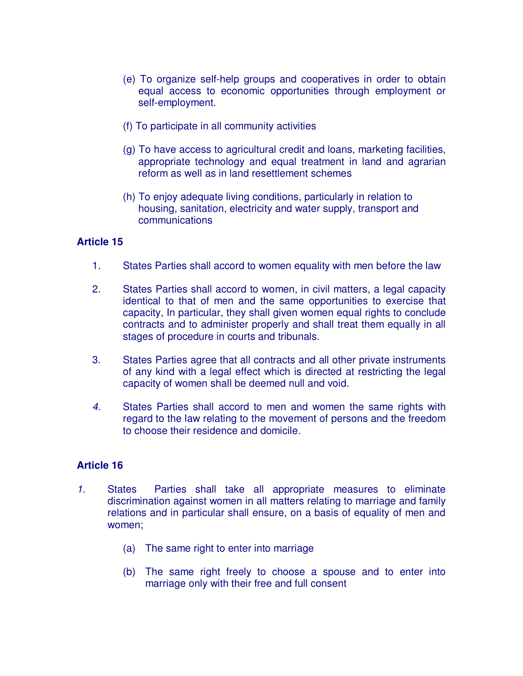- (e) To organize self-help groups and cooperatives in order to obtain equal access to economic opportunities through employment or self-employment.
- (f) To participate in all community activities
- (g) To have access to agricultural credit and loans, marketing facilities, appropriate technology and equal treatment in land and agrarian reform as well as in land resettlement schemes
- (h) To enjoy adequate living conditions, particularly in relation to housing, sanitation, electricity and water supply, transport and communications

## **Article 15**

- 1. States Parties shall accord to women equality with men before the law
- 2. States Parties shall accord to women, in civil matters, a legal capacity identical to that of men and the same opportunities to exercise that capacity, In particular, they shall given women equal rights to conclude contracts and to administer properly and shall treat them equally in all stages of procedure in courts and tribunals.
- 3. States Parties agree that all contracts and all other private instruments of any kind with a legal effect which is directed at restricting the legal capacity of women shall be deemed null and void.
- 4. States Parties shall accord to men and women the same rights with regard to the law relating to the movement of persons and the freedom to choose their residence and domicile.

#### **Article 16**

- 1. States Parties shall take all appropriate measures to eliminate discrimination against women in all matters relating to marriage and family relations and in particular shall ensure, on a basis of equality of men and women;
	- (a) The same right to enter into marriage
	- (b) The same right freely to choose a spouse and to enter into marriage only with their free and full consent